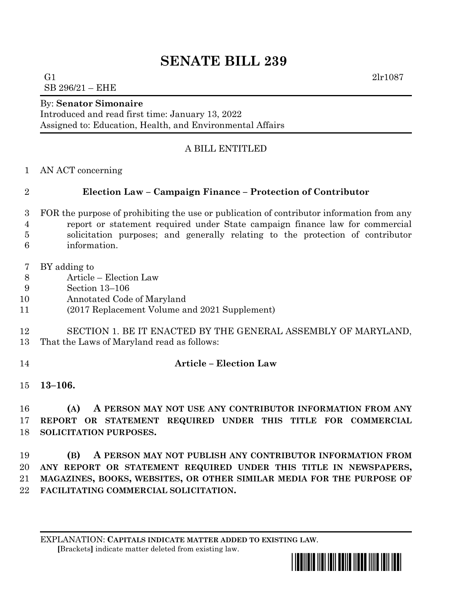# **SENATE BILL 239**

G1  $2 \ln 1087$ SB 296/21 – EHE

## By: **Senator Simonaire**

Introduced and read first time: January 13, 2022 Assigned to: Education, Health, and Environmental Affairs

## A BILL ENTITLED

AN ACT concerning

## **Election Law – Campaign Finance – Protection of Contributor**

- FOR the purpose of prohibiting the use or publication of contributor information from any report or statement required under State campaign finance law for commercial solicitation purposes; and generally relating to the protection of contributor information.
- BY adding to
- Article Election Law
- Section 13–106
- Annotated Code of Maryland
- (2017 Replacement Volume and 2021 Supplement)

## SECTION 1. BE IT ENACTED BY THE GENERAL ASSEMBLY OF MARYLAND, That the Laws of Maryland read as follows:

## **Article – Election Law**

**13–106.**

 **(A) A PERSON MAY NOT USE ANY CONTRIBUTOR INFORMATION FROM ANY REPORT OR STATEMENT REQUIRED UNDER THIS TITLE FOR COMMERCIAL SOLICITATION PURPOSES.**

 **(B) A PERSON MAY NOT PUBLISH ANY CONTRIBUTOR INFORMATION FROM ANY REPORT OR STATEMENT REQUIRED UNDER THIS TITLE IN NEWSPAPERS, MAGAZINES, BOOKS, WEBSITES, OR OTHER SIMILAR MEDIA FOR THE PURPOSE OF FACILITATING COMMERCIAL SOLICITATION.**

EXPLANATION: **CAPITALS INDICATE MATTER ADDED TO EXISTING LAW**.  **[**Brackets**]** indicate matter deleted from existing law.

<u>\*sb0239 \*sb0239 \*sb0239 \*sb023</u>